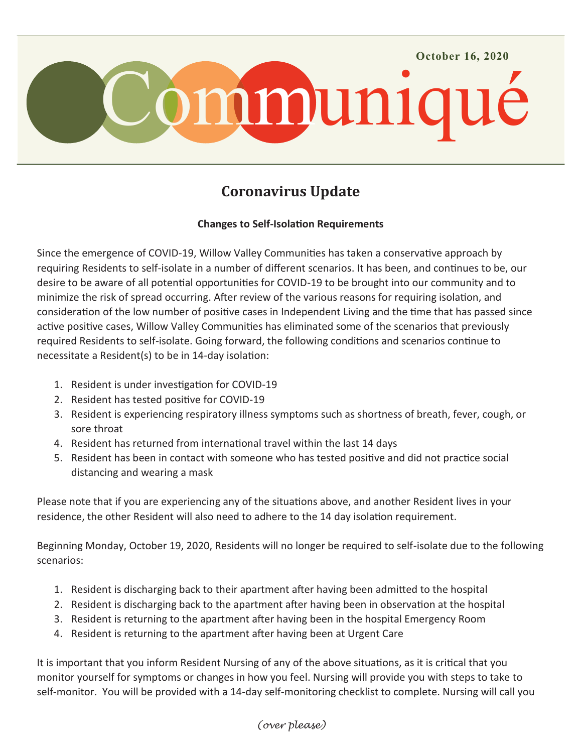

## **Coronavirus Update**

## **Changes to Self-Isolation Requirements**

Since the emergence of COVID-19, Willow Valley Communities has taken a conservative approach by requiring Residents to self-isolate in a number of different scenarios. It has been, and continues to be, our desire to be aware of all potential opportunities for COVID-19 to be brought into our community and to minimize the risk of spread occurring. After review of the various reasons for requiring isolation, and consideration of the low number of positive cases in Independent Living and the time that has passed since active positive cases, Willow Valley Communities has eliminated some of the scenarios that previously required Residents to self-isolate. Going forward, the following conditions and scenarios continue to necessitate a Resident(s) to be in 14-day isolation:

- 1. Resident is under investigation for COVID-19
- 2. Resident has tested positive for COVID-19
- 3. Resident is experiencing respiratory illness symptoms such as shortness of breath, fever, cough, or sore throat
- 4. Resident has returned from international travel within the last 14 days
- 5. Resident has been in contact with someone who has tested positive and did not practice social distancing and wearing a mask

Please note that if you are experiencing any of the situations above, and another Resident lives in your residence, the other Resident will also need to adhere to the 14 day isolation requirement.

Beginning Monday, October 19, 2020, Residents will no longer be required to self-isolate due to the following scenarios:

- 1. Resident is discharging back to their apartment after having been admitted to the hospital
- 2. Resident is discharging back to the apartment after having been in observation at the hospital
- 3. Resident is returning to the apartment after having been in the hospital Emergency Room
- 4. Resident is returning to the apartment after having been at Urgent Care

It is important that you inform Resident Nursing of any of the above situations, as it is critical that you monitor yourself for symptoms or changes in how you feel. Nursing will provide you with steps to take to self-monitor. You will be provided with a 14-day self-monitoring checklist to complete. Nursing will call you